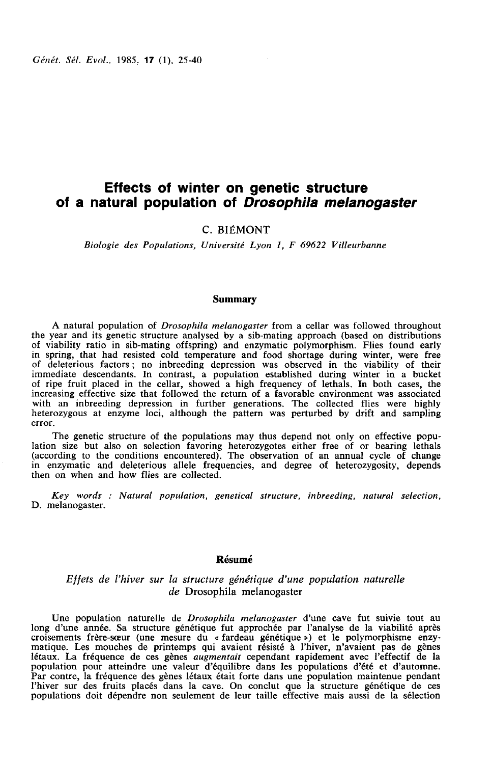Génét. Sél. Evol., 1985. 17 (1), 25-40

# Effects of winter on genetic structure of a natural population of Drosophila melanogaster

C. BIÉMONT

Biologie des Populations, Université Lyon 1, F 69622 Villeurbanne

### Summary

A natural population of Drosophila melanogaster from a cellar was followed throughout the year and its genetic structure analysed by a sib-mating approach (based on distributions of viability ratio in sib-mating offspring) and enzymatic polymorphism. Flies found early in spring, that had resisted cold temperature and food shortage during winter, were free of deleterious factors ; no inbreeding depression was observed in the viability of their immediate descendants. In contrast, a population established during winter in a bucket of ripe fruit placed in the cellar, showed a high frequency of lethals. In both cases, the increasing effective size that followed the return of a favorable environment was associated with an inbreeding depression in further generations. The collected flies were highly heterozygous at enzyme loci, although the pattern was perturbed by drift and sampling error.

The genetic structure of the populations may thus depend not only on effective population size but also on selection favoring heterozygotes either free of or bearing lethals (according to the conditions encountered). The observation of an annual cycle of change in enzymatic and deleterious allele frequencies, and degree of heterozygosity, depends then on when and how flies are collected.

Key words : Natural population, genetical structure, inbreeding, natural selection, D. melanogaster.

## Résumé

## Effets de l'hiver sur la structure génétique d'une population naturelle de Drosophila melanogaster

Une population naturelle de Drosophila melanogaster d'une cave fut suivie tout au long d'une année. Sa structure génétique fut approchée par l'analyse de la viabilité après croisements frère-sceur (une mesure du « fardeau génétique ») et le polymorphisme enzymatique. Les mouches de printemps qui avaient résisté à l'hiver, n'avaient pas de gènes létaux. La fréquence de ces gènes augmentait cependant rapidement avec l'effectif de la population pour atteindre une valeur d'équilibre dans les populations d'été et d'automne. Par contre, la fréquence des gènes létaux était forte dans une population maintenue pendant l'hiver sur des fruits placés dans la cave. On conclut que la structure génétique de ces populations doit dépendre non seulement de leur taille effective mais aussi de la sélection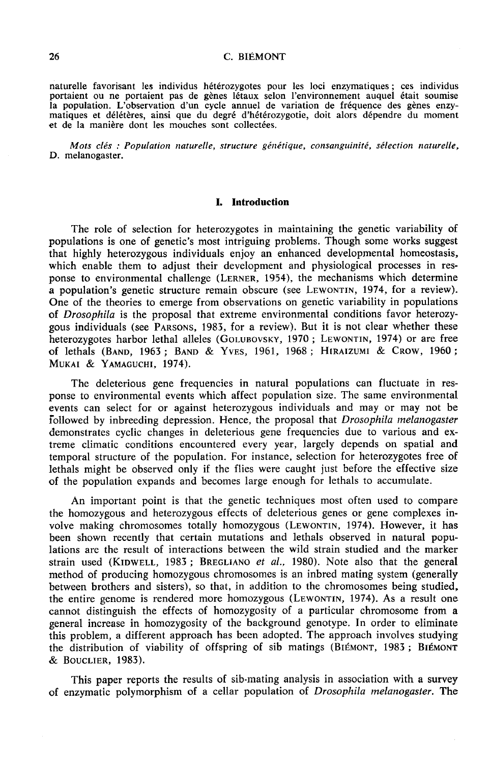naturelle favorisant les individus hétérozygotes pour les loci enzymatiques; ces individus portaient ou ne portaient pas de gènes létaux selon l'environnement auquel était soumise la population. L'observation d'un cycle annuel de variation de fréquence des gènes enzymatiques et délétères, ainsi que du degré d'hétérozygotie, doit alors dépendre du moment et de la manière dont les mouches sont collectées.

Mots clés : Population naturelle, structure génétique, consanguinité, sélection naturelle, D. melanogaster.

### 1. Introduction

The role of selection for heterozygotes in maintaining the genetic variability of populations is one of genetic's most intriguing problems. Though some works suggest that highly heterozygous individuals enjoy an enhanced developmental homeostasis, which enable them to adjust their development and physiological processes in res-<br>ponse to environmental challenge (LERNER, 1954), the mechanisms which determine I he role of selection for heterozygotes in maintaining the genetic variability of populations is one of genetic's most intriguing problems. Though some works suggest that highly heterozygous individuals enjoy an enhanced One of the theories to emerge from observations on genetic variability in populations of Drosophila is the proposal that extreme environmental conditions favor heterozyponse to environmental challenge (LERNER, 1954), the mechanisms which determine<br>a population's genetic structure remain obscure (see LEWONTIN, 1974, for a review).<br>One of the theories to emerge from observations on genetic which enable them to adjust their development and physiological processes in response to environmental challenge (LERNER, 1954), the mechanisms which determine a population's genetic structure remain obscure (see LEWONTIN, MUKAI & YAMAGUCHI, 1974).

The deleterious gene frequencies in natural populations can fluctuate in response to environmental events which affect population size. The same environmental events can select for or against heterozygous individuals and may or may not be followed by inbreeding depression. Hence, the proposal that *Drosophila melanogaster* demonstrates cyclic changes in deleterious gene frequencies due to various and extreme climatic conditions encountered every year, largely depends on spatial and temporal structure of the population. For instance, selection for heterozygotes free of lethals might be observed only if the flies were caught just before the effective size of the population expands and becomes large enough for lethals to accumulate.

An important point is that the genetic techniques most often used to compare the homozygous and heterozygous effects of deleterious genes or gene complexes involve making the observed only if the flies were caught just before the effective size<br>of the population expands and becomes large enough for lethals to accumulate.<br>An important point is that the genetic techniques most of been shown recently that certain mutations and lethals observed in natural populations are the result of interactions between the wild strain studied and the marker volve making chromosomes totally homozygous (LEWONTIN, 1974). However, it has<br>been shown recently that certain mutations and lethals observed in natural popu-<br>lations are the result of interactions between the wild strain method of producing homozygous chromosomes is an inbred mating system (generally between brothers and sisters), so that, in addition to the chromosomes being studied, the entire genome is rendered more homozygous (LEWONTIN, 1974). As a result one been shown recently that certain mutations and lethals observed in natural populations are the result of interactions between the wild strain studied and the marker strain used (KIDWELL, 1983; BREGLIANO *et al.*, 1980). No cannot distinguish the effects of homozygosity of a particular chromosome from a general increase in homozygosity of the background genotype. In order to eliminate this problem, a different approach has been adopted. The approach involves studying the entire genome is rendered more homozygous (LEWONTIN, 1974). As a result one cannot distinguish the effects of homozygosity of a particular chromosome from a general increase in homozygosity of the background genotype. & BOUCLIER, 1983).

This paper reports the results of sib-mating analysis in association with a survey of enzymatic polymorphism of a cellar population of Drosophila melanogaster. The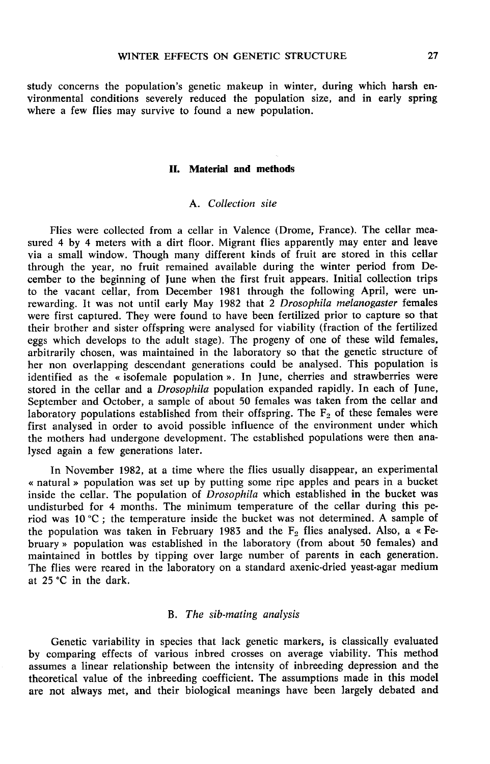study concerns the population's genetic makeup in winter, during which harsh environmental conditions severely reduced the population size, and in early spring where a few flies may survive to found a new population.

## IL Material and methods

## A. Collection site

Flies were collected from a cellar in Valence (Drome, France). The cellar measured 4 by 4 meters with a dirt floor. Migrant flies apparently may enter and leave via a small window. Though many different kinds of fruit are stored in this cellar through the year, no fruit remained available during the winter period from December to the beginning of June when the first fruit appears. Initial collection trips to the vacant cellar, from December 1981 through the following April, were unrewarding. It was not until early May 1982 that 2 Drosophila melanogaster females were first captured. They were found to have been fertilized prior to capture so that their brother and sister offspring were analysed for viability (fraction of the fertilized eggs which develops to the adult stage). The progeny of one of thèse wild females, arbitrarily chosen, was maintained in the laboratory so that the genetic structure of her non overlapping descendant generations could be analysed. This population is identified as the « isofemale population ». In June, cherries and strawberries were stored in the cellar and a Drosophila population expanded rapidly. In each of June, September and October, a sample of about 50 females was taken from the cellar and laboratory populations established from their offspring. The  $F_2$  of these females were first analysed in order to avoid possible influence of the environment under which the mothers had undergone development. The established populations were then analysed again a few generations later.

In November 1982, at a time where the flies usually disappear, an experimental « natural » population was set up by putting some ripe apples and pears in a bucket inside the cellar. The population of  $\overrightarrow{D}r$ osophila which established in the bucket was undisturbed for 4 months. The minimum temperature of the cellar during this period was  $10\text{ °C}$ ; the temperature inside the bucket was not determined. A sample of the population was taken in February 1983 and the  $F_2$  flies analysed. Also, a « February » population was established in the laboratory (from about 50 females) and maintained in bottles by tipping over large number of parents in each generation. The flies were reared in the laboratory on a standard axenic-dried yeast-agar medium at 25 °C in the dark.

### B. The sib-mating analysis

Genetic variability in species that lack genetic markers, is classically evaluated by comparing effects of various inbred crosses on average viability. This method assumes a linear relationship between the intensity of inbreeding depression and the theoretical value of the inbreeding coefficient. The assumptions made in this model are not always met, and their biological meanings have been largely debated and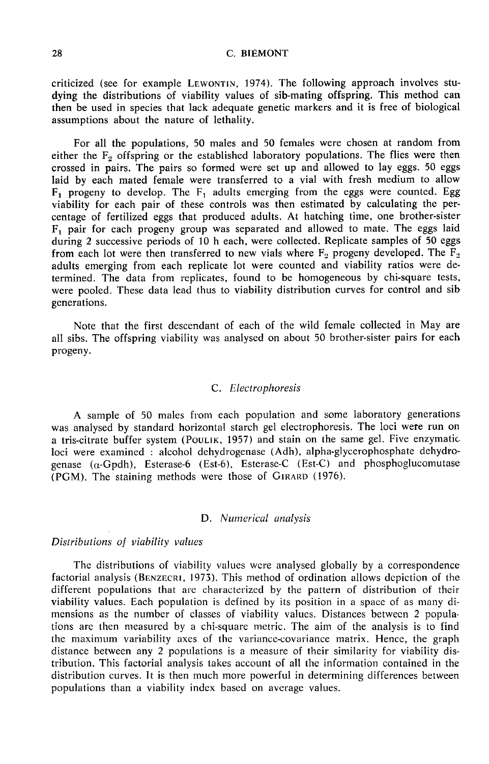28 C. BIÉMONT<br>
criticized (see for example LEWONTIN, 1974). The following approach involves studying the distributions of viability values of sib-mating offspring. This method can then be used in species that lack adequate genetic markers and it is free of biological assumptions about the nature of lethality.

For all the populations, 50 males and 50 females were chosen at random from either the  $F<sub>2</sub>$  offspring or the established laboratory populations. The flies were then crossed in pairs. The pairs so formed were set up and allowed to lay eggs. 50 eggs laid by each mated female were transferred to a vial with fresh medium to allow  $F_1$  progeny to develop. The  $F_1$  adults emerging from the eggs were counted. Egg viability for each pair of these controls was then estimated by calculating the percentage of fertilized eggs that produced adults. At hatching time, one brother-sister  $F_1$  pair for each progeny group was separated and allowed to mate. The eggs laid during 2 successive periods of 10 h each, were collected. Replicate samples of 50 eggs from each lot were then transferred to new vials where  $F_2$  progeny developed. The  $\overline{F}_2$ adults emerging from each replicate lot were counted and viability ratios were determined. The data from replicates, found to be homogeneous by chi-square tests, were pooled. These data lead thus to viability distribution curves for control and sib generations.

Note that the first descendant of each of the wild female collected in May are all sibs. The offspring viability was analysed on about 50 brother-sister pairs for each progeny.

## C. Electrophoresis

A sample of 50 males from each population and some laboratory generations was analysed by standard horizontal starch gel electrophoresis. The loci were run on A sample of 50 males from each population and some laboratory generations<br>was analysed by standard horizontal starch gel electrophoresis. The loci were run on<br>a tris-citrate buffer system (POULIK, 1957) and stain on the sa genase ( $\alpha$ -Gpdh), Esterase-6 (Est-6), Esterase-C (Est-C) and phosphoglucomutase (PGM). The staining methods were those of GIRARD (1976). a tris-citrate buffer system (POULIK, 1957) and stain on the s<br>loci were examined : alcohol dehydrogenase (Adh), alpha-gly<br>genase ( $\alpha$ -Gpdh), Esterase-6 (Est-6), Esterase-C (Est-C) ar<br>(PGM). The staining methods were tho

## D. Numerical analysis

### Distributions of viability values

The distributions of viability values were analysed globally by a correspondence factorial analysis (BENZECRI, 1973). This method of ordination allows depiction of the different populations that are characterized by the pattern of distribution of their viability values. Each population is defined by its position in a space of as many dimensions as the number of classes of viability values. Distances between 2 populations are then measured by a chi-square metric. The aim of the analysis is to find the maximum variability axes of the variance-covariance matrix. Hence, the graph distance between any 2 populations is a measure of their similarity for viability distribution. This factorial analysis takes account of all the information contained in the distribution curves. It is then much more powerful in determining differences between populations than a viability index based on average values.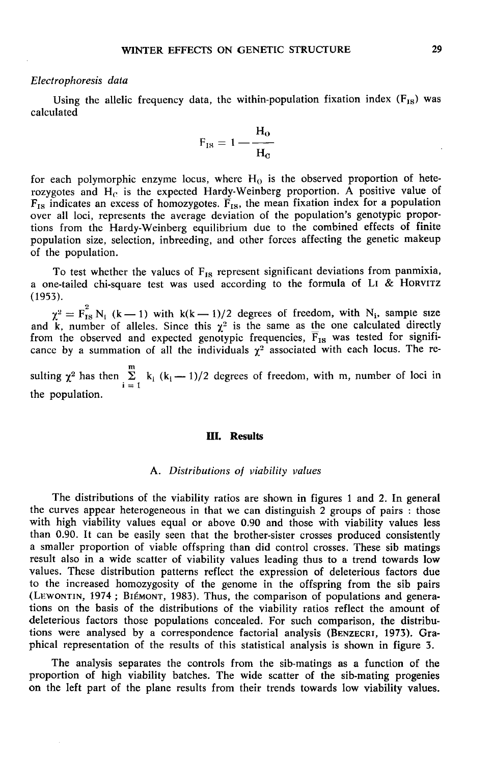### Electrophoresis data

Using the allelic frequency data, the within-population fixation index  $(F_{IS})$  was calculated

$$
F_{IS} = 1 - \frac{H_o}{H_c}
$$

for each polymorphic enzyme locus, where  $H_0$  is the observed proportion of heterozygotes and  $H_C$  is the expected Hardy-Weinberg proportion. A positive value of  $F_{IS}$  indicates an excess of homozygotes.  $\overline{F}_{IS}$ , the mean fixation index for a population over all loci, represents the average deviation of the population's genotypic proportions from the Hardy-Weinberg equilibrium due to the combined effects of finite of the population.

population size, selection, inbreeding, and other forces affecting the genetic makeup<br>of the population.<br>To test whether the values of  $F_{18}$  represent significant deviations from panmixia,<br>a one-tailed chi-square test w (1953).

(1953).<br>  $\chi^2 = F_{18}^2 N_i$  (k – 1) with k(k – 1)/2 degrees of freedom, with N<sub>i</sub>, sample size<br>
and k, number of alleles. Since this  $\chi^2$  is the same as the one calculated directly from the observed and expected genotypic frequencies,  $\overline{F}_{1S}$  was tested for significance by a summation of all the individuals  $\gamma^2$  associated with each locus. The reand  $\hat{k}$ , number of alleles. Since this  $\chi^2$  is the same as the one calculated directly from the observed and expected genotypic frequencies,  $\overline{F}_{IS}$  was tested for significance by a summation of all the individual

m the population.

#### III. Results

#### A. Distributions of viability values

The distributions of the viability ratios are shown in figures 1 and 2. In general the curves appear heterogeneous in that we can distinguish 2 groups of pairs : those with high viability values equal or above 0.90 and those with viability values less than 0.90. It can be easily seen that the brother-sister crosses produced consistently a smaller proportion of viable offspring than did control crosses. These sib matings result also in a wide scatter of viability values leading thus to a trend towards low values. These distribution patterns reflect the expression of deleterious factors due to the increased homozygosity of the genome in the offspring from the sib pairs than 0.90. It can be easily seen that the brother-sister crosses produced consistently<br>a smaller proportion of viable offspring than did control crosses. These sib matings<br>result also in a wide scatter of viability values tions on the basis of the distributions of the viability ratios reflect the amount of deleterious factors those populations concealed. For such comparison, the distribu-<br>tions were analysed by a correspondence factorial analysis (BENZECRI, 1973). Gravalues. These distribution patterns reflect the expression of detectrious factors due<br>to the increased homozygosity of the genome in the offspring from the sib pairs<br>(LEWONTIN, 1974; BIÉMONT, 1983). Thus, the comparison of phical representation of the results of this statistical analysis is shown in figure 3.

The analysis separates the controls from the sib-matings as a function of the proportion of high viability batches. The wide scatter of the sib-mating progenies on the left part of the plane results from their trends towards low viability values.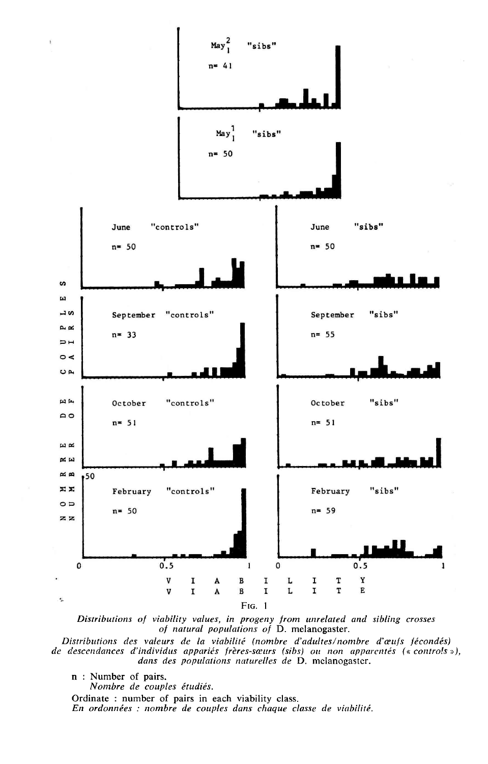

Distributions of viability values, in progeny from unrelated and sibling crosses of natural populations of D. melanogaster.

Distributions des valeurs de la viabilité (nombre d'adultes/nombre d'œufs fécondés) de descendances d'individus appariés frères-sœurs (sibs) ou non apparentés (« controls »), dans des populations naturelles de D. melanogaster.

n : Number of pairs.

f,

Nombre de couples étudiés.

Ordinate : number of pairs in each viability class.

En ordonnées : nombre de couples dans chaque classe de viabilité.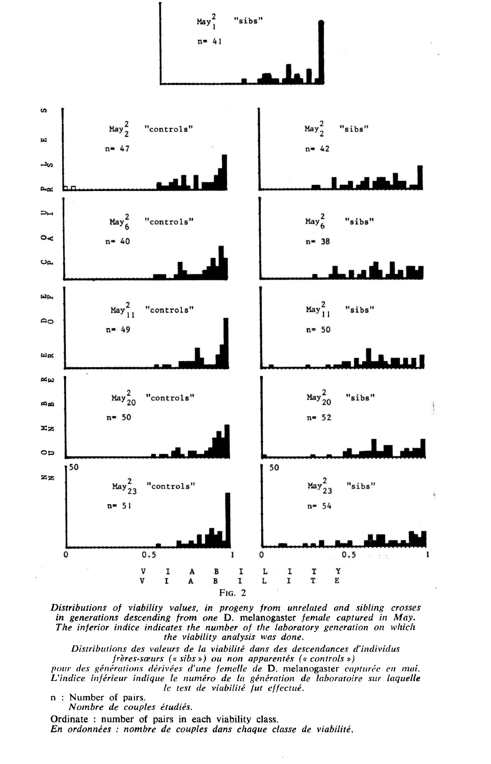

Distributions of viability values, in progeny from unrelated and sibling crosses in generations descending from one D. melanogaster female captured in May. The inferior indice indicates the number of the laboratory generation on which the viability analysis was done.

Distributions des valeurs de la viabilité dans des descendances d'individus  $f\hat{r}$ eres-sœurs (« sibs ») ou non apparentés (« controls »)

pour des générations dérivées d'une femelle de D. melanogaster capturée en mai. L'indice inférieur indique le numéro de la génération de laboratoire sur laquelle<br>le test de viabilité fut effectué.

n : Number of pairs.

Nombre de couples étudiés.

Ordinate : number of pairs in each viability class. En ordonnées : nombre de couples dans chaque classe de viabilité.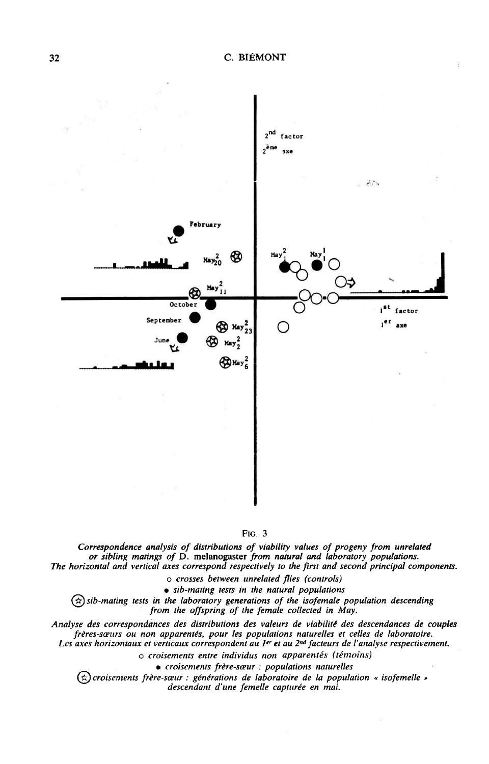

#### FIG. 3

Correspondence analysis of distributions of viability values of progeny from unrelated or sibling matings of D. melanogaster from natural and laboratory populations.<br>The horizontal and vertical axes correspond respectively to the first and second principal components.

o crosses between unrelated flies (controls)

• sib-mating tests in the natural populations

 $(x)$  sib-mating tests in the laboratory generations of the isofemale population descending from the offspring of the female collected in May.

Analyse des correspondances des distributions des valeurs de viabilité des descendances de couples frères-sœurs ou non apparentés, pour les populations naturelles et celles de laboratoire. Les axes horizontaux et verticaux correspondent au 1<sup>er</sup> et au 2<sup>nd</sup> facteurs de l'analyse respectivement.

o croisements entre individus non apparentés (témoins)

· croisements frère-sœur : populations naturelles

 $(\hat{\kappa})$ croisements frère-sœur : générations de laboratoire de la population « isofemelle » descendant d'une femelle capturée en mai.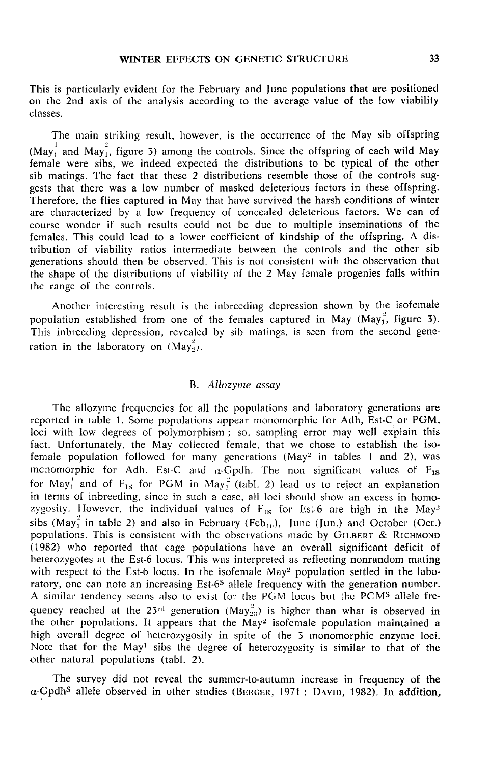This is particularly evident for the February and June populations that are positioned on the 2nd axis of the analysis according to the average value of the low viability classes.

The main striking result, however, is the occurrence of the May sib offspring (May<sub>1</sub> and May<sub>1</sub>, figure 3) among the controls. Since the offspring of each wild May female were sibs, we indeed expected the distributions to be typical of the other sib matings. The fact that these 2 distributions resemble those of the controls suggests that there was a low number of masked deleterious factors in these offspring. Therefore, the flies captured in May that have survived the harsh conditions of winter are characterized by a low frequency of concealed deleterious factors. We can of course wonder if such results could not be due to multiple inseminations of the females. This could lead to a lower coefficient of kindship of the offspring. A distribution of viability ratios intermediate between the controls and the other sib generations should then be observed. This is not consistent with the observation that the shape of the distributions of viability of the 2 May female progenies falls within the range of the controls.

Another interesting result is the inbreeding depression shown by the isofemale population established from one of the females captured in May (May<sub>1</sub><sup>2</sup>, figure 3). This inbreeding depression, revealed by sib matings, is seen from the second generation in the laboratory on  $(May_2^2)$ .

## B. Allozyme assay

The allozyme frequencies for all the populations and laboratory generations are reported in table 1. Some populations appear monomorphic for Adh, Est-C or PGM, loci with low degrees of polymorphism ; so, sampling error may well explain this fact. Unfortunately, the May collected female, that we chose to establish the isofact. Unfortunately, the May collected female, that we chose to establish the iso-<br>female population followed for many generations (May<sup>2</sup> in tables 1 and 2), was<br>monomorphic for Adh. Est-C and *c*-Gndh. The non-significan mcnomorphic for Adh, Est-C and  $\alpha$ -Gpdh. The non significant values of  $F_{1s}$ for May<sub>1</sub><sup>'</sup> and of F<sub>IS</sub> for PGM in May<sub>1</sub><sup>2</sup> (tabl. 2) lead us to reject an explanation in terms of inbreeding, since in such a case, all loci should show an excess in homozygosity. However, the individual values of  $F_{IS}$  for Est-6 are high in the May<sup>2</sup> for May<sub>1</sub> and of  $F_{IS}$  for PGM in May<sub>1</sub><sup>-</sup> (tabl. 2) lead us to reject an explanation<br>in terms of inbreeding, since in such a case, all loci should show an excess in homo-<br>zygosity. However, the individual values of  $F$ (1982) who reported that cage populations have an overall significant deficit of (1982) who reported that cage populations have an overall significant deficit of<br>heterozygotes at the Est-6 locus. This was interpreted as reflecting nonrandom mating<br>with respect to the Est-6 locus. In the isofemale May<sup></sup> with respect to the Est-6 locus. In the isofemale May<sup>2</sup> population settled in the laboratory, one can note an increasing Est-6<sup>S</sup> allele frequency with the generation number. A similar tendency secms also to exist for th quency reached at the 23<sup>rd</sup> generation (May<sub>23</sub>) is higher than what is observed in Example of the other populations. It appears that the May<sup>2</sup><sub>23</sub>) is higher than what is observed in<br>the other populations. It appears that the May<sup>2</sup> isofemale population maintained a<br>high overall degree of beterozygosit high overall degree of heterozygosity in spite of the 3 monomorphic enzyme loci. Note that for the May' sibs the degree of heterozygosity is similar to that of the other natural populations (tabl. 2).

The survey did not reveal the summer-to-autumn increase in frequency of the  $\alpha$ -Gpdh<sup>S</sup> allele observed in other studies (BERGER, 1971 ; DAVID, 1982). In addition,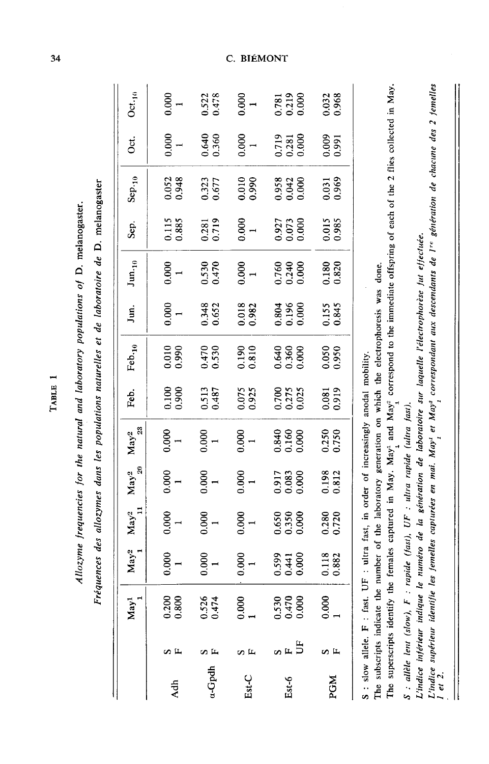| .<br>גו<br>ļ                  |  |
|-------------------------------|--|
| $\ddot{\epsilon}$             |  |
|                               |  |
|                               |  |
|                               |  |
| es for the natural and labor- |  |
|                               |  |
|                               |  |
|                               |  |
| ï                             |  |

TABLE 1

Fréquences des allozymes dans les populations naturelles et de laboratoire de D. melanogaster

|            |                        | May <sup>1</sup>                          | $May^2$                 | $\text{May}^2$ <sup>11</sup> | ${\rm May^2}$<br>$^{20}$ | ${\rm May^2}$<br>23     | Feb.                    | Feb. $10$               | Jun.                    | $\text{Jun}_{\cdot10}$  | Sep.                    | $Step_{10}$    | Öct.                    | $Oct_{10}$              |
|------------|------------------------|-------------------------------------------|-------------------------|------------------------------|--------------------------|-------------------------|-------------------------|-------------------------|-------------------------|-------------------------|-------------------------|----------------|-------------------------|-------------------------|
| Adh        | øμ                     | 0.200<br>0.800                            | 3.0001                  | $^{1,000}_{1}$               | $^{1000}_{-1}$           | $rac{1}{1}$             | 0061                    | 0.010                   | 0.0001                  | 0.000                   | 0.115<br>0.885          | 0.052          | 0.000                   | 0.000                   |
| a-Gpdh     | $\mathbf{r}$           | 0.526<br>0.474                            | 0.0001                  | 0.0001                       | $^{1000}$                | $^{1000}$               | 1.513                   | 0.470                   | 0.348                   | 0.530                   | 0.281                   | 0.323<br>0.677 | 0.640                   | $0.522$<br>$0.478$      |
| $Est-C$    | o IL                   | $\begin{array}{c} 0.000 \\ 1 \end{array}$ | 0.000                   | 000(                         | 0.000                    | 0.0001                  | 1.075<br>229.1          | 1.810                   | 0.018                   | 0.0001                  | 0.000                   | 0.010          | 0.0001                  | 0.000                   |
| Est-6      | $\sim$ $\mu$ $\approx$ | $0.530$<br>$0.470$<br>$0.000$             | 1.599<br>1.441<br>0.000 | ).650<br>0.350<br>0.000      | 0.917<br>0.083<br>0.000  | 0.840<br>0.160<br>0.000 | 0.700<br>0.275<br>0.025 | 0.640<br>0.360<br>0.000 | 0.804<br>0.196<br>0.000 | 0.760<br>0.240<br>0.000 | 0.927<br>0.073<br>0.000 |                | 0.719<br>0.281<br>0.000 | 0.781<br>0.219<br>0.000 |
| <b>PGM</b> | n<br>u                 | $\begin{array}{c} 0.000 \\ 1 \end{array}$ | 1.118<br>0.882          | 1.280                        | 0.198                    | 0.250                   | 0.081<br>0.919          | 0.050                   | 0.155<br>0.845          | 0.180                   | 0.985                   | 0.031          | 0.0091                  | 0.032<br>0.968          |
|            |                        |                                           |                         |                              |                          |                         |                         |                         |                         |                         |                         |                |                         |                         |

S: slow allele. F: fast. UF: ultra fast, in order of increasingly anodal mobility.

The subscripts indicate the number of the laboratory generation on which the electrophoresis was done.

The superscripts identify the females captured in May. May<sup>1</sup> and May<sup>2</sup> correspond to the immediate offspring of each of the 2 files collected in May.

S : allèle lent (slow), F : rapide (fast), UF : ultra rapide (ultra fast).

L'indice inférieur indique le numéro de la génération de laboratoire sur laquelle l'électrophorèse fut effectuée.

L'indice supérieur identifie les femelles capturées en mai. May<sup>1</sup> et May<sup>2</sup> correspondant aux descendants de l<sup>1</sup>re génération de chacune des 2 femelles<br>1 or 7  $1$  et 2.

34

# C. BIÉMONT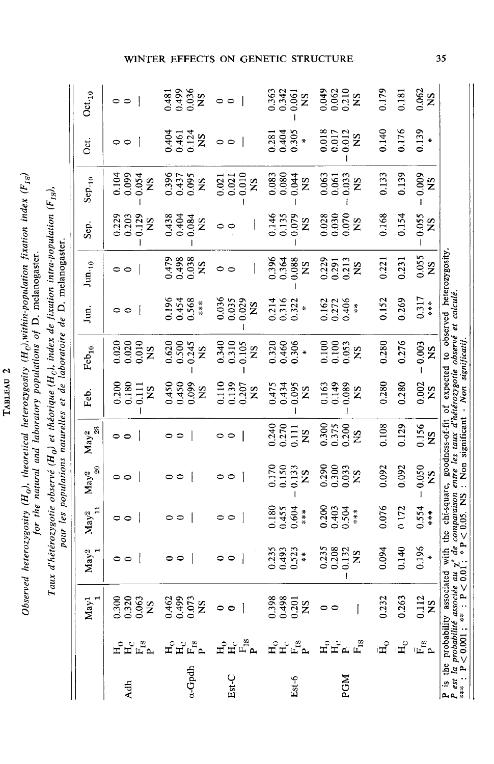| N,      |  |
|---------|--|
|         |  |
| E A T   |  |
| Þ<br>P  |  |
| ۰<br>ĺ. |  |
|         |  |

Observed heterozygosity ( $H_o$ ), theoretical heterozygosity ( $H_o$ ), within-population fixation index ( $F_{1S}$ ) for the natural and laboratory populations of D. melanogaster.

Taux d'hétérozygotie observé ( $H_0$ ) et théorique ( $H_0$ ), index de fixation intra-population ( $F_{18}$ ), pour les populations naturelles et de laboratoire de D. melanogaster.

|       |                                                   | May <sup>1</sup>                                                                                                                                                                                                                                | May <sup>2</sup>                         | $\ensuremath{\mathbf{May^{2}}}\xspace_{11}$ | $\text{May}^2$ 20                               | $\rm{May^2} \over _{23}$                   | Feb.                                                 | $\mathrm{Feb}_{10}$                     | Jun.                                          | $\rm{Jun.}_{10}$                           | Sep.                                      | $Sep_{10}$                                                        | St.                                     | $\mathop{\rm Oct}\nolimits_{10}$         |
|-------|---------------------------------------------------|-------------------------------------------------------------------------------------------------------------------------------------------------------------------------------------------------------------------------------------------------|------------------------------------------|---------------------------------------------|-------------------------------------------------|--------------------------------------------|------------------------------------------------------|-----------------------------------------|-----------------------------------------------|--------------------------------------------|-------------------------------------------|-------------------------------------------------------------------|-----------------------------------------|------------------------------------------|
| Adh   | 모<br>모르                                           | 0.300<br>0.320<br>0.063<br>NS                                                                                                                                                                                                                   | $\circ$                                  | $\overline{\phantom{a}}$<br>00              | $\circ$ $\circ$                                 | ⊣<br>00                                    | 0.200<br>0.180<br>$\frac{11}{2}$<br>$S_{\mathbf{X}}$ | $0.020$<br>$0.010$<br>$\mathbf{S}$      | $\circ$                                       | $\circ$ $\circ$                            | 0.129<br>0.229<br>0.203<br>ŠK             | 0.104<br>0.054<br><b>S</b>                                        | 00                                      | $\circ$ $\circ$                          |
| .Gpdh | ម<br>ដក្នុ                                        | 0.073<br>0.462<br>0.499<br><b>NS</b>                                                                                                                                                                                                            | 00                                       | $\overline{\phantom{a}}$<br>00              | $\overline{1}$<br>$\circ$                       | 0<br>$\circ$                               | 0.450<br>0.450<br>$S_{\mathbf{N}}$                   | 0.620<br>0.245<br>0.500<br><b>S</b>     | 0.196<br>0.454<br>0.568<br>***                | 0.479<br>0.498<br>80.038<br>S <sub>X</sub> | 0.438<br>0.404<br>0.084<br>S <sub>X</sub> | 0.396<br>0.437<br>0.095<br>$\mathbf{S}$                           | 0.404<br>0.461<br>0.124<br>$\mathbf{S}$ | 0.481<br>0.499<br>0.036<br>NS            |
| Est C | $E_{\text{H}}^{\text{c}}$<br>$\mathbf{H}_\bullet$ | $\circ$                                                                                                                                                                                                                                         | $\circ$ $\circ$                          | $\circ$                                     | $\circ$ $\circ$                                 | 00                                         | 0.110<br>0.139<br>0.207<br>$\mathbf{S}$              | 0.340<br>0.310<br>0.105<br>$\mathbf{S}$ | 0.029<br>0.036<br>0.035<br>$\mathbf{S}$       | $\circ$ $\circ$                            | 00                                        | 0.010<br>$\begin{array}{c} 0.021 \\ 0.021 \end{array}$<br>SN      | $\circ$                                 | $\circ$ $\circ$                          |
| Est-6 | 고<br>그 모 모 모                                      | 0.398<br>0.201<br>$\mathbf{S}$                                                                                                                                                                                                                  | $0.235$<br>$0.493$<br>0.523              | 0.180<br>0.455<br>0.604<br>****             | 0.170<br>0.150<br>0.133<br>$\tilde{\mathbf{z}}$ | 0.240<br>0.270<br>$\overline{0.111}$<br>ŠN | 0.095<br>0.475<br>0.434<br>$\frac{S}{S}$             | 0.320<br>0.460<br>0.306<br>$\ast$       | 0.214<br>0.316<br>0.322<br>$\boldsymbol{\pi}$ | 0.396<br>0.364<br>0.088<br>SN              | 0.079<br>0.146<br>0.135<br>$\mathbf{S}$   | $\begin{array}{c} 0.083 \\ 0.080 \end{array}$<br>0.044<br>$^{2}S$ | 0.305<br>0.281<br>0.404                 | 0.363<br>0.342<br>0.061<br>$\frac{S}{S}$ |
| PGM   | ដ<br>ដែល<br>ដ<br>$\vec{H}$                        |                                                                                                                                                                                                                                                 | 0.235<br>0.208<br>0.132<br>$\frac{S}{Z}$ | 0.200<br>0.403<br>$0.504$<br>***            | 0.290<br>0.300<br>0.033<br>$\tilde{\mathbf{z}}$ | 0.300<br>0.375<br>NS<br>NS                 | 0.163<br>0.149<br>0.089<br>$\frac{S}{S}$             | 0.100<br>0.100<br>0.95<br>XS            | 0.162<br>0.272<br>0.406<br>$\frac{4}{3}$      | 0.229<br>0.291<br>0.213<br>S <sub>N</sub>  | 0.028<br>0.030<br>0.070<br>$\mathbf{S}$   | 0.063<br>0.061<br>0.033<br>$\frac{S}{S}$                          | 0.018<br>0.012<br>0.017<br>SN           | 0.049<br>0.062<br>0.210<br>NS            |
|       | ں<br>H<br>$\mathbf{H}_{\mathrm{C}}$               | 0.263<br>0.232                                                                                                                                                                                                                                  | 0.094<br>0.140                           | 0.076<br>0.172                              | 0.092<br>0.092                                  | 0.108<br>0.129                             | 0.280<br>0.280                                       | 0.280<br>0.276                          | 0.152<br>0.269                                | 0.231<br>0.221                             | 0.168<br>0.154                            | 0.133<br>0.139                                                    | 0.140<br>0.176                          | 0.179<br>0.181                           |
|       | 兵<br>2日                                           | 0.112<br><b>SN</b>                                                                                                                                                                                                                              | 0.196                                    | 0.554<br>$\frac{*}{*}$                      | 0.050<br>$\overline{S}$                         | $0.156$<br>NS                              | 0.002<br>SN                                          | 0.003<br>$\mathbf{S}$                   | 0.317<br>黄米草                                  | $\frac{0.055}{NS}$                         | 0.055<br>$\mathbf{S}$                     | 0.009<br>$\tilde{z}$                                              | 0.139                                   | $0.062$<br>NS                            |
|       |                                                   | <b>P</b> is the probability associated with the chi-square, goodness-of-fit of expected to observed heterozygosity.<br><i>P</i> est la probabilité associée au $\chi^2$ de comparaison entre les taux d'hétérozygotie observé et calculé.<br>** |                                          |                                             |                                                 |                                            |                                                      |                                         |                                               |                                            |                                           |                                                                   |                                         |                                          |

# WINTER EFFECTS ON GENETIC STRUCTURE

35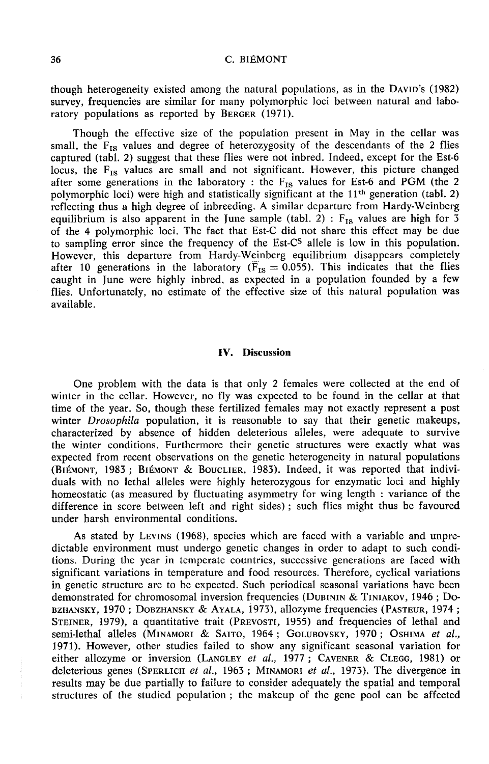though heterogeneity existed among the natural populations, as in the DAmn's (1982) survey, frequencies are similar for many polymorphic loci between natural and laboratory populations as reported by BERGER (1971).

Though the effective size of the population present in May in the cellar was small, the  $F_{IS}$  values and degree of heterozygosity of the descendants of the 2 flies captured (tabl. 2) suggest that these flies were not inbred. Indeed, except for the Est-6 locus, the  $F_{IS}$  values are small and not significant. However, this picture changed after some generations in the laboratory : the  $F_{IS}$  values for Est-6 and PGM (the 2 polymorphic loci) were high and statistically significant at the 11<sup>th</sup> generation (tabl. 2) reflecting thus a high degree of inbreeding. A similar departure from Hardy-Weinberg equilibrium is also apparent in the June sample (tabl. 2) :  $F_{IS}$  values are high for 3 of the 4 polymorphic loci. The fact that Est-C did not share this effect may be due to sampling error since the frequency of the Est of the 4 polymorphic loci. The fact that Est-C did not share this effect may be due to sampling error since the frequency of the Est-C<sup>s</sup> allele is low in this population. However, this departure from Hardy-Weinberg equilibrium disappears completely after 10 generations in the laboratory ( $\overline{F}_{IS} = 0.055$ ). This indicates that the flies caught in June were highly inbred, as expected in a population founded by a few flies. Unfortunately, no estimate of the effective size of this natural population was available.

## IV. Discussion

One problem with the data is that only 2 females were collected at the end of winter in the cellar. However, no fly was expected to be found in the cellar at that time of the year. So, though these fertilized females may not exactly represent a post winter *Drosophila* population, it is reasonable to say that their genetic makeups, characterized by absence of hidden deleterious alleles, were adequate to survive the winter conditions. Furthermore their genetic structures were exactly what was expected from recent observations on the genetic heterogeneity in natural populations (BIÉMONT, 1983; BIÉMONT & BOUCLIER, 1983). Indeed, it was reported that indiviwinter *Drosophila* population, it is reasonable to say that their genetic makeups, characterized by absence of hidden deleterious alleles, were adequate to survive the winter conditions. Furthermore their genetic structur duals with no lethal alleles were highly heterozygous for enzymatic loci and highly homeostatic (as measured by fluctuating asymmetry for wing length : variance of the difference in score between left and right sides) ; such flies might thus be favoured under harsh environmental conditions.

As stated by LEVINS (1968), species which are faced with a variable and unpredictable environment must undergo genetic changes in order to adapt to such conditions. During the year in temperate countries, successive generations are faced with significant variations in temperature and food resources. Therefore, cyclical variations in genetic structure are to be expected. Such periodical seasonal variations have been demonstrated for chromosomal inversion frequencies (DUBININ & TINIAKOV, 1946; Dodictable environment must undergo genetic changes in order to adapt to such condi-<br>tions. During the year in temperate countries, successive generations are faced with<br>significant variations in temperature and food resourc As stated by LEVINS (1968), species which are faced with a variable and unpre-<br>dictable environment must undergo genetic changes in order to adapt to such condi-<br>tions. During the year in temperature countries, successive Strainery and Temperate Countries, successive generations are raced with<br>significant variations in temperature and food resources. Therefore, cyclical variations<br>in genetic structure are to be expected. Such periodical sea tions. During the year in temperate countries, successive generations are faced with<br>significant variations in temperature and food resources. Therefore, cyclical variations<br>in genetic structure are to be expected. Such p BZHANSKY, 1970; DOBZHANSKY & AYALA, 1973), allozyme frequencies (PASTEUR, 1974; STEINER, 1979), a quantitative trait (PREVOSTI, 1955) and frequencies of lethal and semi-lethal alleles (MINAMORI & SAITO, 1964; GOLUBOVSKY, results may be due partially to failure to consider adequately the spatial and temporal structures of the studied population ; the makeup of the gene pool can be affected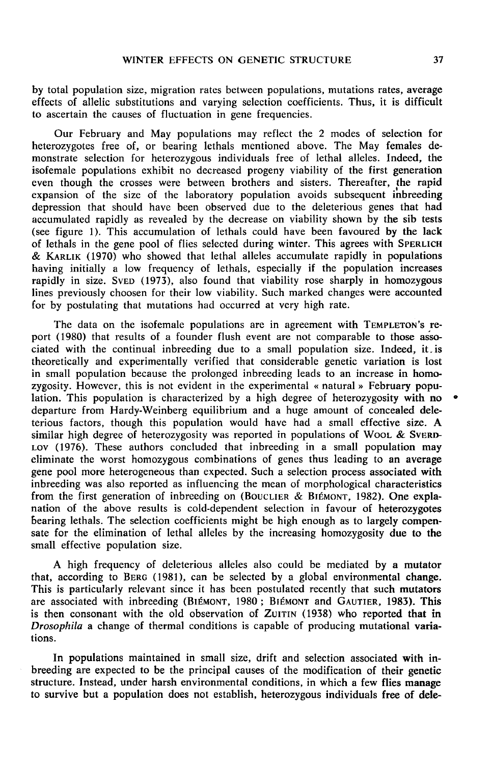by total population size, migration rates between populations, mutations rates, average effects of allelic substitutions and varying selection coefficients. Thus, it is difficult to ascertain the causes of fluctuation in gene frequencies.

Our February and May populations may reflect the 2 modes of selection for heterozygotes free of, or bearing lethals mentioned above. The May females demonstrate selection for heterozygous individuals free of lethal alleles. Indeed, the isofemale populations exhibit no decreased progeny viability of the first generation even though the crosses were between brothers and sisters. Thereafter, the rapid expansion of the size of the laboratory population avoids subsequent inbreeding depression that should have been observed due to the deleterious genes that had accumulated rapidly as revealed by the decrease on viability shown by the sib tests (see figure 1). This accumulation of lethals could have been favoured by the lack of lethals in the gene pool of flies selected during winter. This agrees with SPERLICH expansion of the size of the laboratory population avoids subsequent inbreeding<br>depression that should have been observed due to the deleterious genes that had<br>accumulated rapidly as revealed by the decrease on viability s accumulated rapidly as revealed by the decrease on viability shown by the sib tests<br>(see figure 1). This accumulation of lethals could have been favoured by the lack<br>of lethals in the gene pool of flies selected during win having initially a low frequency of lethals, especially if the population increases x KARLIK (1970) who showed that lethal alleles accumulate rapidly in populations<br>having initially a low frequency of lethals, especially if the population increases<br>rapidly in size. SVED (1973), also found that viability r lines previously choosen for their low viability. Such marked changes were accounted for by postulating that mutations had occurred at very high rate. ARLIK (1970) who showed that lethal alleles accumulate rapidly in populations<br>ng initially a low frequency of lethals, especially if the population increases<br>lly in size. SVED (1973), also found that viability rose sharpl

port (1980) that results of a founder flush event are not comparable to those associated with the continual inbreeding due to a small population size. Indeed, it.is theoretically and experimentally verified that considerable genetic variation is lost in small population because the prolonged inbreeding leads to an increase in homozygosity. However, this is not evident in the experimental « natural » February population. This population is characterized by a high degree of heterozygosity with no departure from Hardy-Weinberg equilibrium and a huge amount of concealed deleterious factors, though this population would have had a small effective size. A similar high degree of heterozygosity was reported in populations of Wool  $\&$  SvERD-Lov (1976). These authors concluded that inbreeding in a small population may eliminate the worst homozygous combinations of genes thus leading to an average gene pool more heterogeneous than expected. Such a selection process associated with inbreeding was also reported as influencing the mean of morphological characteristics from the first generation of inbreeding on (BOUCLIER & BIÉMONT, 1982). One expla-Lov (1976). These authors concluded that inbreeding in a small population may<br>eliminate the worst homozygous combinations of genes thus leading to an average<br>gene pool more heterogeneous than expected. Such a selection pro nation of the above results is cold-dependent selection in favour of heterozygotes bearing lethals. The selection coefficients might be high enough as to largely compensate for the elimination of lethal alleles by the increasing homozygosity due to the small effective population size.

A high frequency of deleterious alleles also could be mediated by a mutator that, according to BERG (1981), can be selected by a global environmental change. This is particularly relevant since it has been postulated recently that such mutators Small effective population size.<br>
A high frequency of deleterious alleles also could be mediated by a mutator<br>
that, according to BERG (1981), can be selected by a global environmental change.<br>
This is particularly relevan Drosophila a change of thermal conditions is capable of producing mutational variations.

In populations maintained in small size, drift and selection associated with inbreeding are expected to be the principal causes of the modification of their genetic structure. Instead, under harsh environmental conditions, in which a few flies manage to survive but a population does not establish, heterozygous individuals free of dele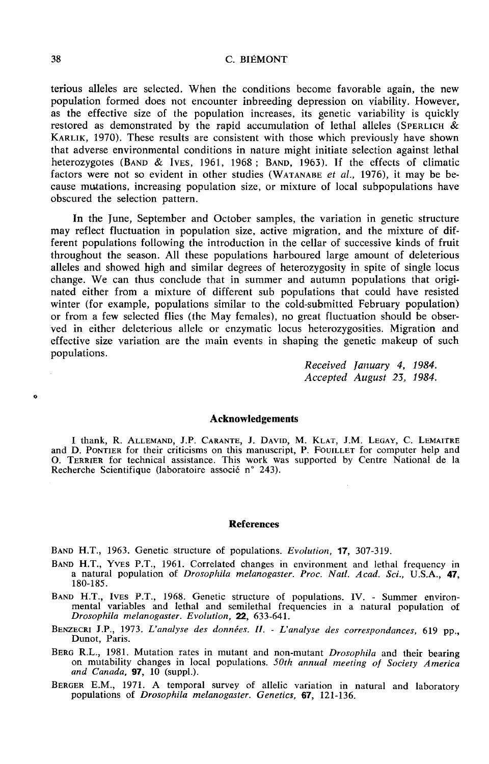C. BIÉMONT

terious alleles are selected. When the conditions become favorable again, the new population formed does not encounter inbreeding depression on viability. However, as the effective size of the population increases, its genetic variability is quickly population formed does not encounter inbreeding depression on viability. However, as the effective size of the population increases, its genetic variability is quickly restored as demonstrated by the rapid accumulation of that adverse environmental conditions in nature might initiate selection against lethal KARLIK, 1970). These results are consistent with those which previously have shown<br>that adverse environmental conditions in nature might initiate selection against lethal<br>heterozygotes (BAND & IVES, 1961, 1968; BAND, 1963 heterozygotes (BAND & IVES, 1961, 1968; BAND, 1963). If the effects of climatic factors were not so evident in other studies (WATANABE et al., 1976), it may be because mutations, increasing population size, or mixture of local subpopulations have obscured the selection pattern.

In the June, September and October samples, the variation in genetic structure may reflect fluctuation in population size, active migration, and the mixture of different populations following the introduction in the cellar of successive kinds of fruit throughout the season. All these populations harboured large amount of deleterious alleles and showed high and similar degrees of heterozygosity in spite of single locus change. We can thus conclude that in summer and autumn populations that originated either from a mixture of different sub populations that could have resisted winter (for example, populations similar to the cold-submitted February population) or from a few selected flies (the May females), no great fluctuation should be observed in either deleterious allele or enzymatic locus heterozygosities. Migration and effective size variation are the main events in shaping the genetic makeup of such populations.

> Received january 4, 1984. Accepted August 23, 1984.

#### Acknowledgements

Acknowledgements<br>1 thank, R. Allemand, J.P. Carante, J. David, M. Klat, J.M. Legay, C. Lemaitre<br>10. Pontier for their criticisms on this manuscript, P. Fouillet for computer help and **Acknowledgements**<br>I thank, R. ALLEMAND, J.P. CARANTE, J. DAVID, M. KLAT, J.M. LEGAY, C. LEMAITRE<br>and D. PONTIER for their criticisms on this manuscript, P. FOUILLET for computer help and<br>O. TERRIER for technical assistanc O. TERRIER for technical assistance. This work was supported by Centre National de la Recherche Scientifique (laboratoire associé n° 243).

### References

BAND H.T., 1963. Genetic structure of populations. Evolution, 17, 307-319.

- BAND H.T., YVES P.T., 1961. Correlated changes in environment and lethal frequency in a natural population of Drosophila melanogaster. Proc. Natl. Acad. Sci., U.S.A., 47, 180-185.
- a natural population of *Drosophila melanogaster. Proc. Natl. Acad. Sci.*, U.S.A., 47, 180-185.<br>BAND H.T., IVES P.T., 1968. Genetic structure of populations. IV. Summer environ-<br>mental variables and lethal and semilethal Drosophila melanogaster. Evolution, 22, 633-641. BAND H.T., IVES P.T., 1968. Genetic structure of populations. IV. - Summer environ-<br>mental variables and lethal and semilethal frequencies in a natural population of<br>*Drosophila melanogaster. Evolution*, **22**, 633-641.<br>BEN
- 
- BENZECRI J.P., 1973. *L'analyse des données. II. L'analyse des correspondances*, 619 pp., Dunot, Paris.<br>BERG R.L., 1981. Mutation rates in mutant and non-mutant *Drosophila* and their bearing on mutability changes in l
- BERGER E.M., 1971. A temporal survey of allelic variation in natural and laboratory populations of Drosophila melanogaster. Genetics, 67, 121-136.

 $\ddot{\mathbf{o}}$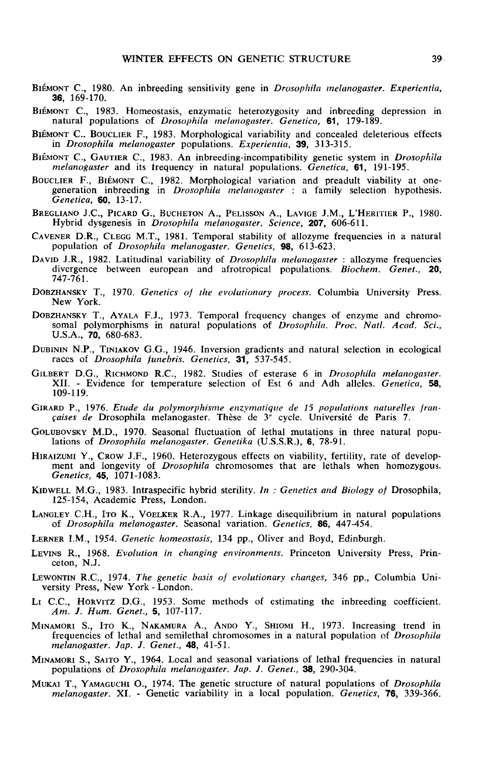- WINTER EFFECTS ON GENETIC STRUCTURE<br>BIÉMONT C., 1980. An inbreeding sensitivity gene in *Drosophila melanogaster. Experientia*,<br>**36**, 169-170. 36, 169-170. BIÉMONT C., 1980. An inbreeding sensitivity gene in *Drosophila melanogaster. Experientia*, **36**, 169-170.<br>BIÉMONT C., 1983. Homeostasis, enzymatic heterozygosity and inbreeding depression in natural populations of *Drosop*
- natural populations of Drosophila melanogaster. Genetica, 61, 179-189.
- **BIÉMONT C., 1980.** An indiversing sensitivity gene in *Drosophita metanogaster*. *Experientia*, **BEMONT** C., 1983. Homeostasis, enzymatic heterozygosity and inbreeding depression in natural populations of *Drosophila mela* in Drosophila melanogaster populations. Experientia, 39, 313-315. BIEMONT C., 1989. Homeostasis, enzymant meterozygosity and morecumg depression in<br>natural populations of *Drosophila melanogaster. Genetica*, 61, 179-189.<br>BIÉMONT C., BOUCLIER F., 1983. Morphological variability and concea
- melanogaster and its frequency in natural populations. Genetica, 61, 191-195.
- BIÉMONT C., BOOCLIER 1, 1969. Morphological variationy and conceated detections effects<br>in *Drosophila melanogaster* populations. *Experientia*, **39**, 313-315.<br>BiéMONT C., GAUTIER C., 1983. An inbreeding-incompatibility ge Genetica, 60, 13-17. BIÉMONT C., GAUTIER C., 1983. An inbreeding-incompatibility genetic system in *Drosophila*<br>melanogaster and its frequency in natural populations. *Genetica*, **61**, 191-195.<br>BOUCLIER F., BIÉMONT C., 1982. Morphological vari
- Hybrid dysgenesis in Drosophila melanogaster. Science, 207, 606-611. BREGLIANO J.C., PICARD G., BUCHETON A., PELISSON A., LAVIGE J.M., L'HERITIER P., 1980.
- population of Drosophila melanogaster. Genetics, 98, 613-623. CAVENER D.R., CLEGG M.T., 1981. Temporal stability of allozyme frequencies in a natural population of *Drosophila melanogaster*. Genetics, **98**, 613-623.<br>DAVID J.R., 1982. Latitudinal variability of *Drosophila melanogaste*
- DAVID J.R., 1962. Latitudinal variability of *Drosophita metanogaster*: anozyme requencies<br>divergence between european and afrotropical populations. *Biochem. Genet.*, **20**,<br>747-761.<br>DOBZHANSKY T., 1970. *Genetics of the e* 747-761. DAVID J.R., 1982. Latitudinal variability of *Drosophila melanogaster*: allozyme frequencies<br>divergence between european and afrotropical populations. *Biochem. Genet.*, 20,<br>747-761.<br>DOBZHANSKY T., 1970. Genetics of the ev
- New York.
- somal polymorphisms in natural populations of Drosophila. Proc. Natl. Acad. Sci., U.S.A., 70, 680-683. DOBZHANSKY T., AYALA F.J., 1973. Temporal frequency changes of enzyme and chromosomal polymorphisms in natural populations of *Drosophila. Proc. Natl. Acad. Sci.*, U.S.A., **70**, 680-683.<br>DUBININ N.P., TINIAKOV G.G., 1946.
- 
- GILBERT D.G., RICHMOND R.C., 1982. Studies of esterase 6 in Drosophila melanogaster. XII. - Evidence for temperature selection of Est 6 and Adh alleles. Genetica, 58, 109-119. GILBERT D.G., RICHMOND R.C., 1982. Studies of esterase 6 in *Drosophila melanogaster*.<br>
XII. - Evidence for temperature selection of Est 6 and Adh alleles. *Genetica*, 58,<br>
109-119.<br>
GIRARD P., 1976. *Etude du polymorphism*
- $c \nexists a \neq 0$  Drosophila melanogaster. Thèse de 3<sup> $\cdot$ </sup> cycle. Université de Paris 7.
- OLUBOVSKY M.D., 1970. Seasonal fluctuation of lethal mutations in three natural populations of Drosophila melanogaster. Genetika (U.S.S.R.), 6, 78-91.
- HIRAIZUMI Y., CROW J.F., 1960. Heterozygous effects on viability, fertility, rate of develop-<br>
HIRAIZUMI Y., CROW J.F., 1960. Heterozygous effects on viability, fertility, rate of develop-<br>
ment and longevity of *Drosophil* Genetics, 45, 1071-1083. HIRAIZUMI Y., CROW J.F., 1960. Heterozygous effects on viability, fertility, rate of development and longevity of *Drosophila* chromosomes that are lethals when homozygous *Genetics*, **45**, 1071-1083.<br>KIDWELL M.G., 1983. I
- 125-154, Academic Press, London. LANGLEY C.H., 1983. Intraspecific hybrid sterility. *In*: Genetics and Biology of Drosophila,<br>125-154, Academic Press, London.<br>LANGLEY C.H., ITO K., VOELKER R.A., 1977. Linkage disequilibrium in natural populations<br>of *Dro*
- of Drosophila melanogaster. Seasonal variation. Genetics, 86, 447-454. LANGLEY C.H., ITO K., VOELKER R.A., 1977. Linkage disequilibrium in natural populations of *Drosophila melanogaster*. Seasonal variation. *Genetics*, 86, 447-454.<br>LERNER I.M., 1954. *Genetic homeostasis*, 134 pp., Oliver a
- 
- LEVINS R., 1968. Evolution in changing environments. Princeton University Press, Princeton, N.J. LERNER I.M., 1954. *Genetic homeostasis*, 134 pp., Oliver and Boyd, Edinburgh.<br>LERNER I.M., 1954. *Genetic homeostasis*, 134 pp., Oliver and Boyd, Edinburgh.<br>LEVINS R., 1968. *Evolution in changing environments*. Princeton
- LEVING II, 1970. EVORMON IN CHARGING CHARGING. THECCEN CHARGING TRESS, THE CEO., N.J.<br>LEWONTIN R.C., 1974. The genetic basis of evolutionary changes, 346 pp., Columbia University Press, New York London.<br>LI C.C., HORVITZ
- 
- Am. J. Hum. Genet., 5, 107-117.<br>
MINAMORI S., ITO K., NAKAMURA A., ANDO Y., SHIOMI H., 1973. Increasing trend in<br>
frequencies of lethal and semilethal chromosomes in a natural population of *Drosophila*<br>
melanogaster. Jap. LEWONTIN R.C., 1974. The genetic basis of evolutionary changes, 346 pp., Columbia University Press, New York - London.<br>
LI C.C., HORVITZ D.G., 1953. Some methods of estimating the inbreeding coefficient.<br>
Am. J. Hum. Genet frequencies of lethal and semilethal chromosomes in a natural population of Drosophila melanogaster. Jap. J. Genet., 48, 41-51. MINAMORI S., ITO K., NAKAMURA A., ANDO Y., SHIOMI H., 1973. Increasing trend in frequencies of lethal and semilethal chromosomes in a natural population of *Drosophila melanogaster. Jap. J. Genet.*, **48**, 41-51.<br>MINAMORI S
- populations of Drosophila melanogaster. Jap. J. Genet., 38, 290-304.
- melanogaster. XI. Genetic variability in a local population. Genetics, 76, 339-366.